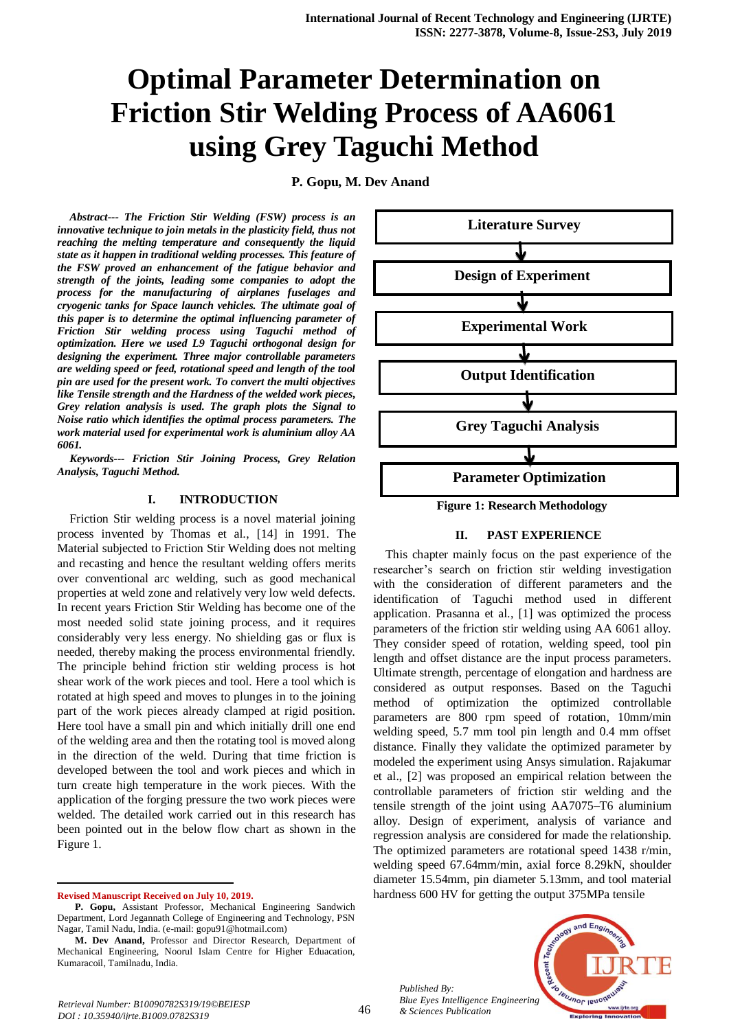# **Optimal Parameter Determination on Friction Stir Welding Process of AA6061 using Grey Taguchi Method**

**P. Gopu, M. Dev Anand** 

*Abstract--- The Friction Stir Welding (FSW) process is an innovative technique to join metals in the plasticity field, thus not reaching the melting temperature and consequently the liquid state as it happen in traditional welding processes. This feature of the FSW proved an enhancement of the fatigue behavior and strength of the joints, leading some companies to adopt the process for the manufacturing of airplanes fuselages and cryogenic tanks for Space launch vehicles. The ultimate goal of this paper is to determine the optimal influencing parameter of Friction Stir welding process using Taguchi method of optimization. Here we used L9 Taguchi orthogonal design for designing the experiment. Three major controllable parameters are welding speed or feed, rotational speed and length of the tool pin are used for the present work. To convert the multi objectives like Tensile strength and the Hardness of the welded work pieces, Grey relation analysis is used. The graph plots the Signal to Noise ratio which identifies the optimal process parameters. The work material used for experimental work is aluminium alloy AA 6061.*

*Keywords--- Friction Stir Joining Process, Grey Relation Analysis, Taguchi Method.*

### **I. INTRODUCTION**

Friction Stir welding process is a novel material joining process invented by Thomas et al., [14] in 1991. The Material subjected to Friction Stir Welding does not melting and recasting and hence the resultant welding offers merits over conventional arc welding, such as good mechanical properties at weld zone and relatively very low weld defects. In recent years Friction Stir Welding has become one of the most needed solid state joining process, and it requires considerably very less energy. No shielding gas or flux is needed, thereby making the process environmental friendly. The principle behind friction stir welding process is hot shear work of the work pieces and tool. Here a tool which is rotated at high speed and moves to plunges in to the joining part of the work pieces already clamped at rigid position. Here tool have a small pin and which initially drill one end of the welding area and then the rotating tool is moved along in the direction of the weld. During that time friction is developed between the tool and work pieces and which in turn create high temperature in the work pieces. With the application of the forging pressure the two work pieces were welded. The detailed work carried out in this research has been pointed out in the below flow chart as shown in the Figure 1.

**Revised Manuscript Received on July 10, 2019.**

-



**Figure 1: Research Methodology**

### **II. PAST EXPERIENCE**

This chapter mainly focus on the past experience of the researcher's search on friction stir welding investigation with the consideration of different parameters and the identification of Taguchi method used in different application. Prasanna et al., [1] was optimized the process parameters of the friction stir welding using AA 6061 alloy. They consider speed of rotation, welding speed, tool pin length and offset distance are the input process parameters. Ultimate strength, percentage of elongation and hardness are considered as output responses. Based on the Taguchi method of optimization the optimized controllable parameters are 800 rpm speed of rotation, 10mm/min welding speed, 5.7 mm tool pin length and 0.4 mm offset distance. Finally they validate the optimized parameter by modeled the experiment using Ansys simulation. Rajakumar et al., [2] was proposed an empirical relation between the controllable parameters of friction stir welding and the tensile strength of the joint using AA7075–T6 aluminium alloy. Design of experiment, analysis of variance and regression analysis are considered for made the relationship. The optimized parameters are rotational speed 1438 r/min, welding speed 67.64mm/min, axial force 8.29kN, shoulder diameter 15.54mm, pin diameter 5.13mm, and tool material hardness 600 HV for getting the output 375MPa tensile

*Published By: Blue Eyes Intelligence Engineering & Sciences Publication* 



**P. Gopu,** Assistant Professor, Mechanical Engineering Sandwich Department, Lord Jegannath College of Engineering and Technology, PSN Nagar, Tamil Nadu, India. (e-mail[: gopu91@hotmail.com\)](mailto:gopu91@hotmail.com)

**M. Dev Anand,** Professor and Director Research, Department of Mechanical Engineering, Noorul Islam Centre for Higher Eduacation, Kumaracoil, Tamilnadu, India.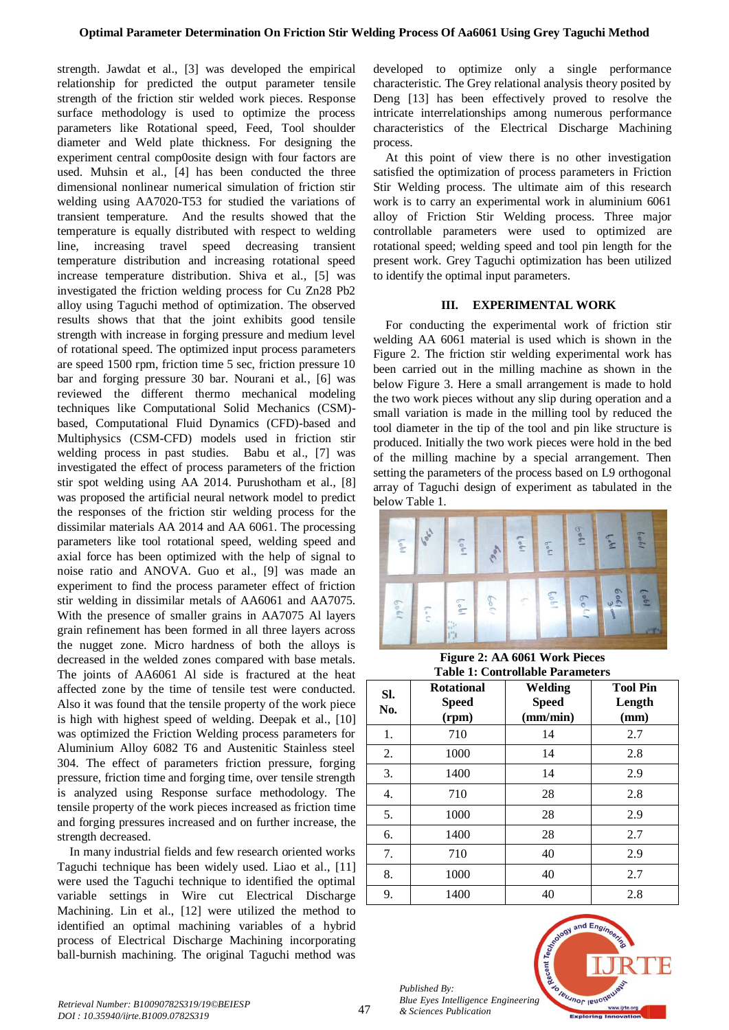strength. Jawdat et al., [3] was developed the empirical relationship for predicted the output parameter tensile strength of the friction stir welded work pieces. Response surface methodology is used to optimize the process parameters like Rotational speed, Feed, Tool shoulder diameter and Weld plate thickness. For designing the experiment central comp0osite design with four factors are used. Muhsin et al., [4] has been conducted the three dimensional nonlinear numerical simulation of friction stir welding using AA7020-T53 for studied the variations of transient temperature. And the results showed that the temperature is equally distributed with respect to welding line, increasing travel speed decreasing transient temperature distribution and increasing rotational speed increase temperature distribution. Shiva et al., [5] was investigated the friction welding process for Cu Zn28 Pb2 alloy using Taguchi method of optimization. The observed results shows that that the joint exhibits good tensile strength with increase in forging pressure and medium level of rotational speed. The optimized input process parameters are speed 1500 rpm, friction time 5 sec, friction pressure 10 bar and forging pressure 30 bar. Nourani et al., [6] was reviewed the different thermo mechanical modeling techniques like Computational Solid Mechanics (CSM) based, Computational Fluid Dynamics (CFD)-based and Multiphysics (CSM-CFD) models used in friction stir welding process in past studies. Babu et al., [7] was investigated the effect of process parameters of the friction stir spot welding using AA 2014. Purushotham et al., [8] was proposed the artificial neural network model to predict the responses of the friction stir welding process for the dissimilar materials AA 2014 and AA 6061. The processing parameters like tool rotational speed, welding speed and axial force has been optimized with the help of signal to noise ratio and ANOVA. Guo et al., [9] was made an experiment to find the process parameter effect of friction stir welding in dissimilar metals of AA6061 and AA7075. With the presence of smaller grains in AA7075 Al layers grain refinement has been formed in all three layers across the nugget zone. Micro hardness of both the alloys is decreased in the welded zones compared with base metals. The joints of AA6061 Al side is fractured at the heat affected zone by the time of tensile test were conducted. Also it was found that the tensile property of the work piece is high with highest speed of welding. Deepak et al., [10] was optimized the Friction Welding process parameters for Aluminium Alloy 6082 T6 and Austenitic Stainless steel 304. The effect of parameters friction pressure, forging pressure, friction time and forging time, over tensile strength is analyzed using Response surface methodology. The tensile property of the work pieces increased as friction time and forging pressures increased and on further increase, the strength decreased.

In many industrial fields and few research oriented works Taguchi technique has been widely used. Liao et al., [11] were used the Taguchi technique to identified the optimal variable settings in Wire cut Electrical Discharge Machining. Lin et al., [12] were utilized the method to identified an optimal machining variables of a hybrid process of Electrical Discharge Machining incorporating ball-burnish machining. The original Taguchi method was

developed to optimize only a single performance characteristic. The Grey relational analysis theory posited by Deng [13] has been effectively proved to resolve the intricate interrelationships among numerous performance characteristics of the Electrical Discharge Machining process.

At this point of view there is no other investigation satisfied the optimization of process parameters in Friction Stir Welding process. The ultimate aim of this research work is to carry an experimental work in aluminium 6061 alloy of Friction Stir Welding process. Three major controllable parameters were used to optimized are rotational speed; welding speed and tool pin length for the present work. Grey Taguchi optimization has been utilized to identify the optimal input parameters.

### **III. EXPERIMENTAL WORK**

For conducting the experimental work of friction stir welding AA 6061 material is used which is shown in the Figure 2. The friction stir welding experimental work has been carried out in the milling machine as shown in the below Figure 3. Here a small arrangement is made to hold the two work pieces without any slip during operation and a small variation is made in the milling tool by reduced the tool diameter in the tip of the tool and pin like structure is produced. Initially the two work pieces were hold in the bed of the milling machine by a special arrangement. Then setting the parameters of the process based on L9 orthogonal array of Taguchi design of experiment as tabulated in the below Table 1.



**Figure 2: AA 6061 Work Pieces Table 1: Controllable Parameters**

| SI.<br>No. | <b>Rotational</b><br><b>Speed</b><br>(rpm) | Welding<br><b>Speed</b><br>(mm/min) | <b>Tool Pin</b><br>Length<br>(mm) |  |  |  |
|------------|--------------------------------------------|-------------------------------------|-----------------------------------|--|--|--|
| 1.         | 710                                        | 14                                  | 2.7                               |  |  |  |
| 2.         | 1000                                       | 14                                  | 2.8                               |  |  |  |
| 3.         | 1400                                       | 14                                  | 2.9                               |  |  |  |
| 4.         | 710                                        | 28                                  | 2.8                               |  |  |  |
| 5.         | 1000                                       | 28                                  | 2.9                               |  |  |  |
| 6.         | 1400                                       | 28                                  | 2.7                               |  |  |  |
| 7.         | 710                                        | 40                                  | 2.9                               |  |  |  |
| 8.         | 1000                                       | 40                                  | 2.7                               |  |  |  |
| 9.         | 1400                                       | 40                                  | 2.8                               |  |  |  |



*Published By:*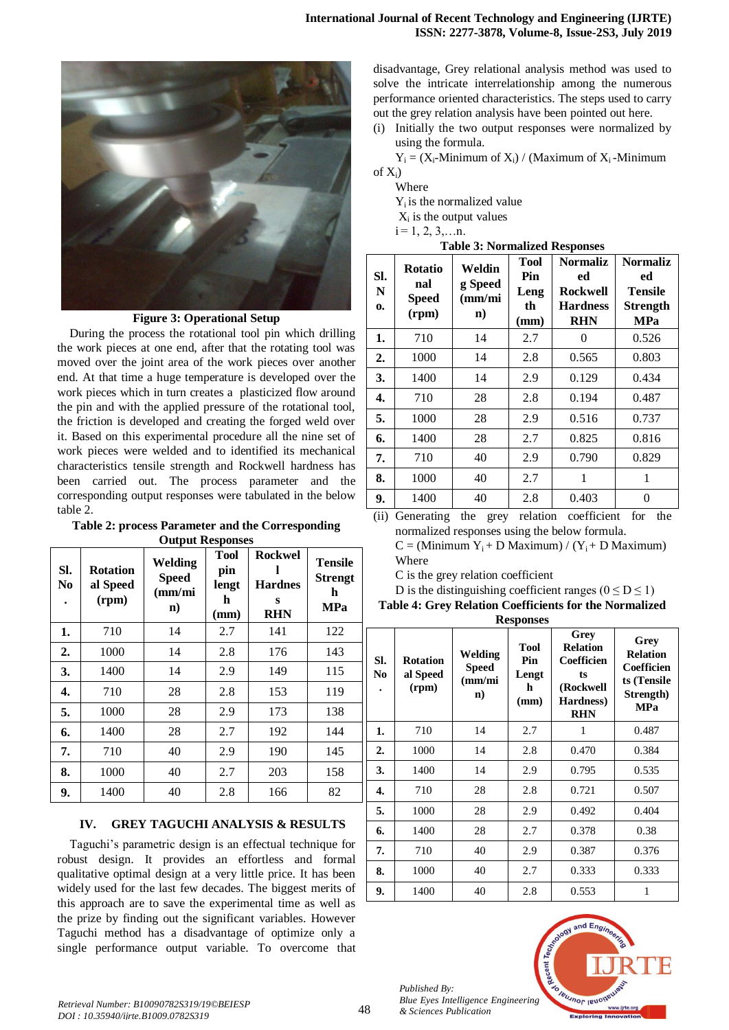

## **Figure 3: Operational Setup**

During the process the rotational tool pin which drilling the work pieces at one end, after that the rotating tool was moved over the joint area of the work pieces over another end. At that time a huge temperature is developed over the work pieces which in turn creates a plasticized flow around the pin and with the applied pressure of the rotational tool, the friction is developed and creating the forged weld over it. Based on this experimental procedure all the nine set of work pieces were welded and to identified its mechanical characteristics tensile strength and Rockwell hardness has been carried out. The process parameter and the corresponding output responses were tabulated in the below table 2.

**Table 2: process Parameter and the Corresponding Output Responses**

| SI.<br>N <sub>0</sub> | <b>Rotation</b><br>al Speed<br>(rpm) | Welding<br><b>Speed</b><br>$\text{nm/mi}$<br>$\mathbf{n}$ | <b>Tool</b><br>pin<br>lengt<br>h<br>(mm) | <b>Rockwel</b><br><b>Hardnes</b><br>S<br><b>RHN</b> | <b>Tensile</b><br><b>Strengt</b><br>h<br><b>MPa</b> |
|-----------------------|--------------------------------------|-----------------------------------------------------------|------------------------------------------|-----------------------------------------------------|-----------------------------------------------------|
| 1.                    | 710                                  | 14                                                        | 2.7                                      | 141                                                 | 122                                                 |
| 2.                    | 1000                                 | 14                                                        | 2.8                                      | 176                                                 | 143                                                 |
| 3.                    | 1400                                 | 14                                                        | 2.9                                      | 149                                                 | 115                                                 |
| 4.                    | 710                                  | 28                                                        | 2.8                                      | 153                                                 | 119                                                 |
| 5.                    | 1000                                 | 28                                                        | 2.9                                      | 173                                                 | 138                                                 |
| 6.                    | 1400                                 | 28                                                        | 2.7                                      | 192                                                 | 144                                                 |
| 7.                    | 710                                  | 40                                                        | 2.9                                      | 190                                                 | 145                                                 |
| 8.                    | 1000                                 | 40                                                        | 2.7                                      | 203                                                 | 158                                                 |
| 9.                    | 1400                                 | 40                                                        | 2.8                                      | 166                                                 | 82                                                  |

## **IV. GREY TAGUCHI ANALYSIS & RESULTS**

Taguchi's parametric design is an effectual technique for robust design. It provides an effortless and formal qualitative optimal design at a very little price. It has been widely used for the last few decades. The biggest merits of this approach are to save the experimental time as well as the prize by finding out the significant variables. However Taguchi method has a disadvantage of optimize only a single performance output variable. To overcome that

disadvantage, Grey relational analysis method was used to solve the intricate interrelationship among the numerous performance oriented characteristics. The steps used to carry out the grey relation analysis have been pointed out here.

(i) Initially the two output responses were normalized by using the formula.

 $Y_i = (X_i-Minimum of X_i) / (Maximum of X_i-Minimum)$ of  $X_i$ )

**Where** 

Yi is the normalized value

 $X_i$  is the output values

 $i = 1, 2, 3, \ldots n$ .

|  | <b>Table 3: Normalized Responses</b> |  |
|--|--------------------------------------|--|
|--|--------------------------------------|--|

| SI.<br>N<br>0. | <b>Rotatio</b><br>nal<br><b>Speed</b><br>(rpm) | Weldin<br>g Speed<br>(mm/mi)<br>$\mathbf{n}$ | <b>Tool</b><br>Pin<br>Leng<br>th<br>(mm) | <b>Normaliz</b><br>ed<br><b>Rockwell</b><br><b>Hardness</b><br><b>RHN</b> | <b>Normaliz</b><br>ed<br>Tensile<br><b>Strength</b><br><b>MPa</b> |
|----------------|------------------------------------------------|----------------------------------------------|------------------------------------------|---------------------------------------------------------------------------|-------------------------------------------------------------------|
| 1.             | 710                                            | 14                                           | 2.7                                      | 0                                                                         | 0.526                                                             |
| 2.             | 1000                                           | 14                                           | 2.8                                      | 0.565                                                                     | 0.803                                                             |
| 3.             | 1400                                           | 14                                           | 2.9                                      | 0.129                                                                     | 0.434                                                             |
| 4.             | 710                                            | 28                                           | 2.8                                      | 0.194                                                                     | 0.487                                                             |
| 5.             | 1000                                           | 28                                           | 2.9                                      | 0.516                                                                     | 0.737                                                             |
| 6.             | 1400                                           | 28                                           | 2.7                                      | 0.825                                                                     | 0.816                                                             |
| 7.             | 710                                            | 40                                           | 2.9                                      | 0.790                                                                     | 0.829                                                             |
| 8.             | 1000                                           | 40                                           | 2.7                                      | 1                                                                         | 1                                                                 |
| 9.             | 1400                                           | 40                                           | 2.8                                      | 0.403                                                                     | 0                                                                 |

(ii) Generating the grey relation coefficient for the normalized responses using the below formula.

 $C = (Minimum Y<sub>i</sub> + D Maximum) / (Y<sub>i</sub> + D Maximum)$ Where

C is the grey relation coefficient

D is the distinguishing coefficient ranges ( $0 \le D \le 1$ ) **Table 4: Grey Relation Coefficients for the Normalized** 

**Responses**

| rresponses             |                                      |                                                                 |                                          |                                                                                     |                                                                                 |  |
|------------------------|--------------------------------------|-----------------------------------------------------------------|------------------------------------------|-------------------------------------------------------------------------------------|---------------------------------------------------------------------------------|--|
| SI.<br>No<br>$\bullet$ | <b>Rotation</b><br>al Speed<br>(rpm) | Welding<br><b>Speed</b><br>$\text{m}/\text{mi}$<br>$\mathbf{n}$ | <b>Tool</b><br>Pin<br>Lengt<br>h<br>(mm) | Grey<br><b>Relation</b><br>Coefficien<br>ts<br>(Rockwell<br>Hardness)<br><b>RHN</b> | Grey<br><b>Relation</b><br>Coefficien<br>ts (Tensile<br>Strength)<br><b>MPa</b> |  |
| 1.                     | 710                                  | 14                                                              | 2.7                                      | 1                                                                                   | 0.487                                                                           |  |
| 2.                     | 1000                                 | 14                                                              | 2.8                                      | 0.470                                                                               | 0.384                                                                           |  |
| 3.                     | 1400                                 | 14                                                              | 2.9                                      | 0.795                                                                               | 0.535                                                                           |  |
| 4.                     | 710                                  | 28                                                              | 2.8                                      | 0.721                                                                               | 0.507                                                                           |  |
| 5.                     | 1000                                 | 28                                                              | 2.9                                      | 0.492                                                                               | 0.404                                                                           |  |
| 6.                     | 1400                                 | 28                                                              | 2.7                                      | 0.378                                                                               | 0.38                                                                            |  |
| 7.                     | 710                                  | 40                                                              | 2.9                                      | 0.387                                                                               | 0.376                                                                           |  |
| 8.                     | 1000                                 | 40                                                              | 2.7                                      | 0.333                                                                               | 0.333                                                                           |  |
| 9.                     | 1400                                 | 40                                                              | 2.8                                      | 0.553                                                                               | 1                                                                               |  |



*Published By:*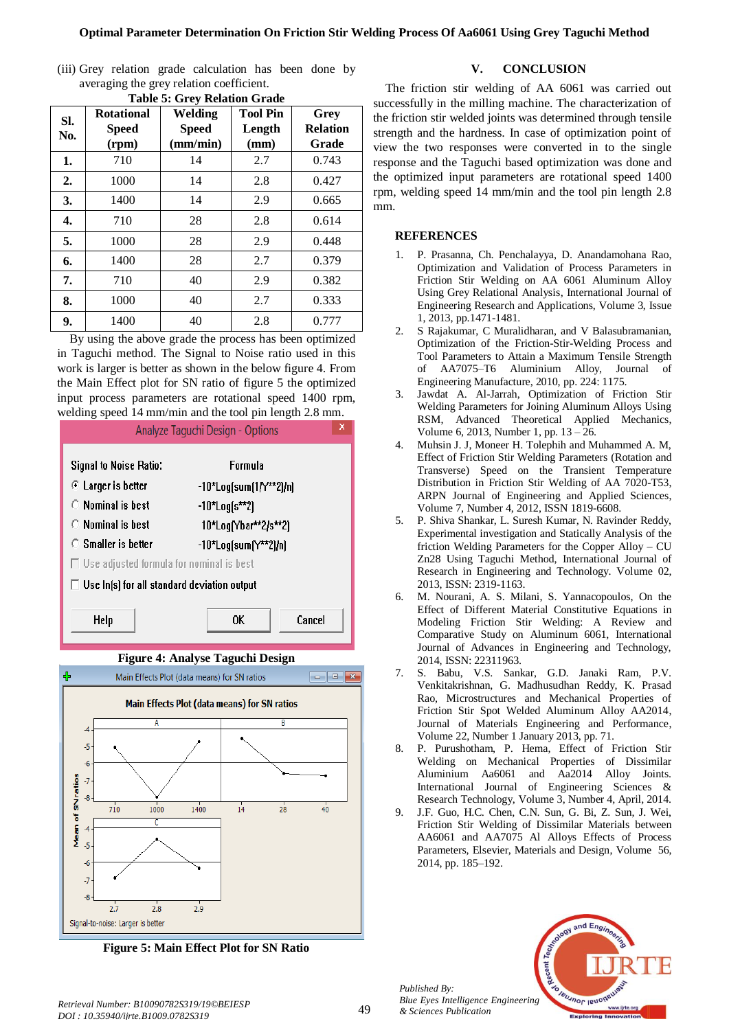(iii) Grey relation grade calculation has been done by averaging the grey relation coefficient.

| L'AVIC 9. VI CY INCIAUVII VI AUC |                                            |                                     |                                   |                                  |  |  |
|----------------------------------|--------------------------------------------|-------------------------------------|-----------------------------------|----------------------------------|--|--|
| SI.<br>No.                       | <b>Rotational</b><br><b>Speed</b><br>(rpm) | Welding<br><b>Speed</b><br>(mm/min) | <b>Tool Pin</b><br>Length<br>(mm) | Grey<br><b>Relation</b><br>Grade |  |  |
| 1.                               | 710                                        | 14                                  | 2.7                               | 0.743                            |  |  |
| 2.                               | 1000                                       | 14                                  | 2.8                               | 0.427                            |  |  |
| 3.                               | 1400                                       | 14                                  | 2.9                               | 0.665                            |  |  |
| 4.                               | 710                                        | 28                                  | 2.8                               | 0.614                            |  |  |
| 5.                               | 1000                                       | 28                                  | 2.9                               | 0.448                            |  |  |
| 6.                               | 1400                                       | 28                                  | 2.7                               | 0.379                            |  |  |
| 7.                               | 710                                        | 40                                  | 2.9                               | 0.382                            |  |  |
| 8.                               | 1000                                       | 40                                  | 2.7                               | 0.333                            |  |  |
| 9.                               | 1400                                       | 40                                  | 2.8                               | 0.777                            |  |  |

**Table 5: Grey Relation Grade**

By using the above grade the process has been optimized in Taguchi method. The Signal to Noise ratio used in this work is larger is better as shown in the below figure 4. From the Main Effect plot for SN ratio of figure 5 the optimized input process parameters are rotational speed 1400 rpm, welding speed 14 mm/min and the tool pin length 2.8 mm.



**Figure 5: Main Effect Plot for SN Ratio**

# **V. CONCLUSION**

The friction stir welding of AA 6061 was carried out successfully in the milling machine. The characterization of the friction stir welded joints was determined through tensile strength and the hardness. In case of optimization point of view the two responses were converted in to the single response and the Taguchi based optimization was done and the optimized input parameters are rotational speed 1400 rpm, welding speed 14 mm/min and the tool pin length 2.8 mm.

# **REFERENCES**

- 1. P. Prasanna, Ch. Penchalayya, D. Anandamohana Rao, Optimization and Validation of Process Parameters in Friction Stir Welding on AA 6061 Aluminum Alloy Using Grey Relational Analysis, International Journal of Engineering Research and Applications, Volume 3, Issue 1, 2013, pp.1471-1481.
- 2. S Rajakumar, C Muralidharan, and V Balasubramanian, Optimization of the Friction-Stir-Welding Process and Tool Parameters to Attain a Maximum Tensile Strength of AA7075–T6 Aluminium Alloy, Journal of Engineering Manufacture, 2010, pp. 224: 1175.
- Jawdat A. Al-Jarrah, Optimization of Friction Stir Welding Parameters for Joining Aluminum Alloys Using RSM, Advanced Theoretical Applied Mechanics, Volume 6, 2013, Number 1, pp. 13 – 26.
- 4. Muhsin J. J, Moneer H. Tolephih and Muhammed A. M, Effect of Friction Stir Welding Parameters (Rotation and Transverse) Speed on the Transient Temperature Distribution in Friction Stir Welding of AA 7020-T53, ARPN Journal of Engineering and Applied Sciences, Volume 7, Number 4, 2012, ISSN 1819-6608.
- 5. P. Shiva Shankar, L. Suresh Kumar, N. Ravinder Reddy, Experimental investigation and Statically Analysis of the friction Welding Parameters for the Copper Alloy – CU Zn28 Using Taguchi Method, International Journal of Research in Engineering and Technology. Volume 02, 2013, ISSN: 2319-1163.
- 6. M. Nourani, A. S. Milani, S. Yannacopoulos, On the Effect of Different Material Constitutive Equations in Modeling Friction Stir Welding: A Review and Comparative Study on Aluminum 6061, International Journal of Advances in Engineering and Technology, 2014, ISSN: 22311963.
- 7. S. Babu, V.S. Sankar, G.D. Janaki Ram, P.V. Venkitakrishnan, G. Madhusudhan Reddy, K. Prasad Rao, Microstructures and Mechanical Properties of Friction Stir Spot Welded Aluminum Alloy AA2014, Journal of Materials Engineering and Performance, Volume 22, Number 1 January 2013, pp. 71.
- 8. P. Purushotham, P. Hema, Effect of Friction Stir Welding on Mechanical Properties of Dissimilar Aluminium Aa6061 and Aa2014 Alloy Joints. International Journal of Engineering Sciences & Research Technology, Volume 3, Number 4, April, 2014.
- 9. J.F. Guo, H.C. Chen, C.N. Sun, G. Bi, Z. Sun, J. Wei, Friction Stir Welding of Dissimilar Materials between AA6061 and AA7075 Al Alloys Effects of Process Parameters, Elsevier, Materials and Design, Volume 56, 2014, pp. 185–192.



*Published By:*